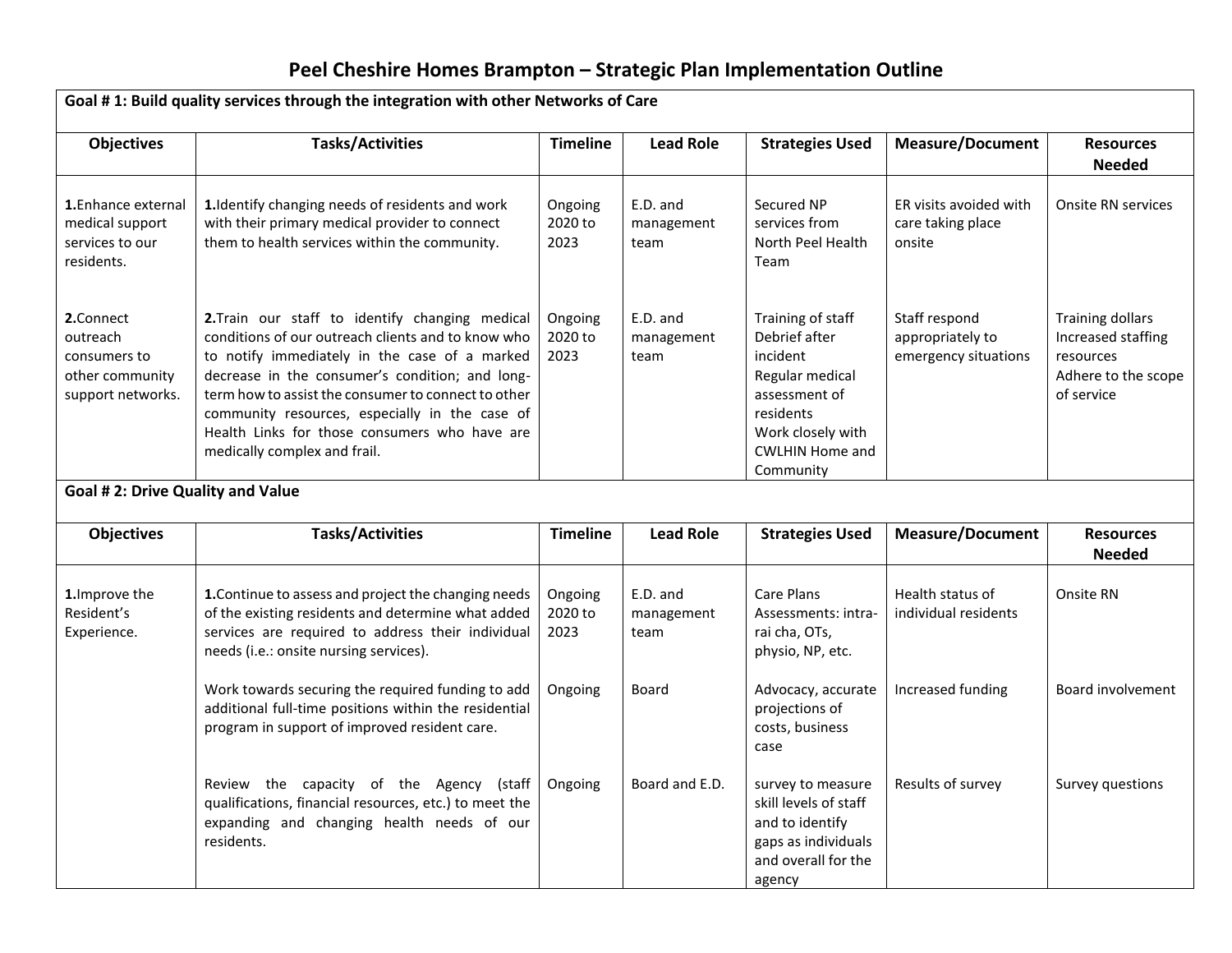| Goal #1: Build quality services through the integration with other Networks of Care |                                                                                                                                                                                                                                                                                                                                                                                                    |                            |                                |                                                                                                                                                             |                                                           |                                                                                                 |  |  |
|-------------------------------------------------------------------------------------|----------------------------------------------------------------------------------------------------------------------------------------------------------------------------------------------------------------------------------------------------------------------------------------------------------------------------------------------------------------------------------------------------|----------------------------|--------------------------------|-------------------------------------------------------------------------------------------------------------------------------------------------------------|-----------------------------------------------------------|-------------------------------------------------------------------------------------------------|--|--|
| <b>Objectives</b>                                                                   | <b>Tasks/Activities</b>                                                                                                                                                                                                                                                                                                                                                                            | <b>Timeline</b>            | <b>Lead Role</b>               | <b>Strategies Used</b>                                                                                                                                      | <b>Measure/Document</b>                                   | <b>Resources</b><br><b>Needed</b>                                                               |  |  |
| 1. Enhance external<br>medical support<br>services to our<br>residents.             | 1. Identify changing needs of residents and work<br>with their primary medical provider to connect<br>them to health services within the community.                                                                                                                                                                                                                                                | Ongoing<br>2020 to<br>2023 | E.D. and<br>management<br>team | Secured NP<br>services from<br>North Peel Health<br>Team                                                                                                    | ER visits avoided with<br>care taking place<br>onsite     | <b>Onsite RN services</b>                                                                       |  |  |
| 2.Connect<br>outreach<br>consumers to<br>other community<br>support networks.       | 2.Train our staff to identify changing medical<br>conditions of our outreach clients and to know who<br>to notify immediately in the case of a marked<br>decrease in the consumer's condition; and long-<br>term how to assist the consumer to connect to other<br>community resources, especially in the case of<br>Health Links for those consumers who have are<br>medically complex and frail. | Ongoing<br>2020 to<br>2023 | E.D. and<br>management<br>team | Training of staff<br>Debrief after<br>incident<br>Regular medical<br>assessment of<br>residents<br>Work closely with<br><b>CWLHIN Home and</b><br>Community | Staff respond<br>appropriately to<br>emergency situations | <b>Training dollars</b><br>Increased staffing<br>resources<br>Adhere to the scope<br>of service |  |  |
| <b>Goal #2: Drive Quality and Value</b>                                             |                                                                                                                                                                                                                                                                                                                                                                                                    |                            |                                |                                                                                                                                                             |                                                           |                                                                                                 |  |  |
| <b>Objectives</b>                                                                   | <b>Tasks/Activities</b>                                                                                                                                                                                                                                                                                                                                                                            | <b>Timeline</b>            | <b>Lead Role</b>               | <b>Strategies Used</b>                                                                                                                                      | <b>Measure/Document</b>                                   | <b>Resources</b><br><b>Needed</b>                                                               |  |  |
| 1. Improve the<br>Resident's<br>Experience.                                         | 1. Continue to assess and project the changing needs<br>of the existing residents and determine what added<br>services are required to address their individual<br>needs (i.e.: onsite nursing services).                                                                                                                                                                                          | Ongoing<br>2020 to<br>2023 | E.D. and<br>management<br>team | Care Plans<br>Assessments: intra-<br>rai cha, OTs,<br>physio, NP, etc.                                                                                      | Health status of<br>individual residents                  | Onsite RN                                                                                       |  |  |
|                                                                                     | Work towards securing the required funding to add<br>additional full-time positions within the residential<br>program in support of improved resident care.                                                                                                                                                                                                                                        | Ongoing                    | Board                          | Advocacy, accurate<br>projections of<br>costs, business<br>case                                                                                             | Increased funding                                         | Board involvement                                                                               |  |  |
|                                                                                     | Review the capacity of the Agency (staff<br>qualifications, financial resources, etc.) to meet the<br>expanding and changing health needs of our<br>residents.                                                                                                                                                                                                                                     | Ongoing                    | Board and E.D.                 | survey to measure<br>skill levels of staff<br>and to identify<br>gaps as individuals<br>and overall for the<br>agency                                       | Results of survey                                         | Survey questions                                                                                |  |  |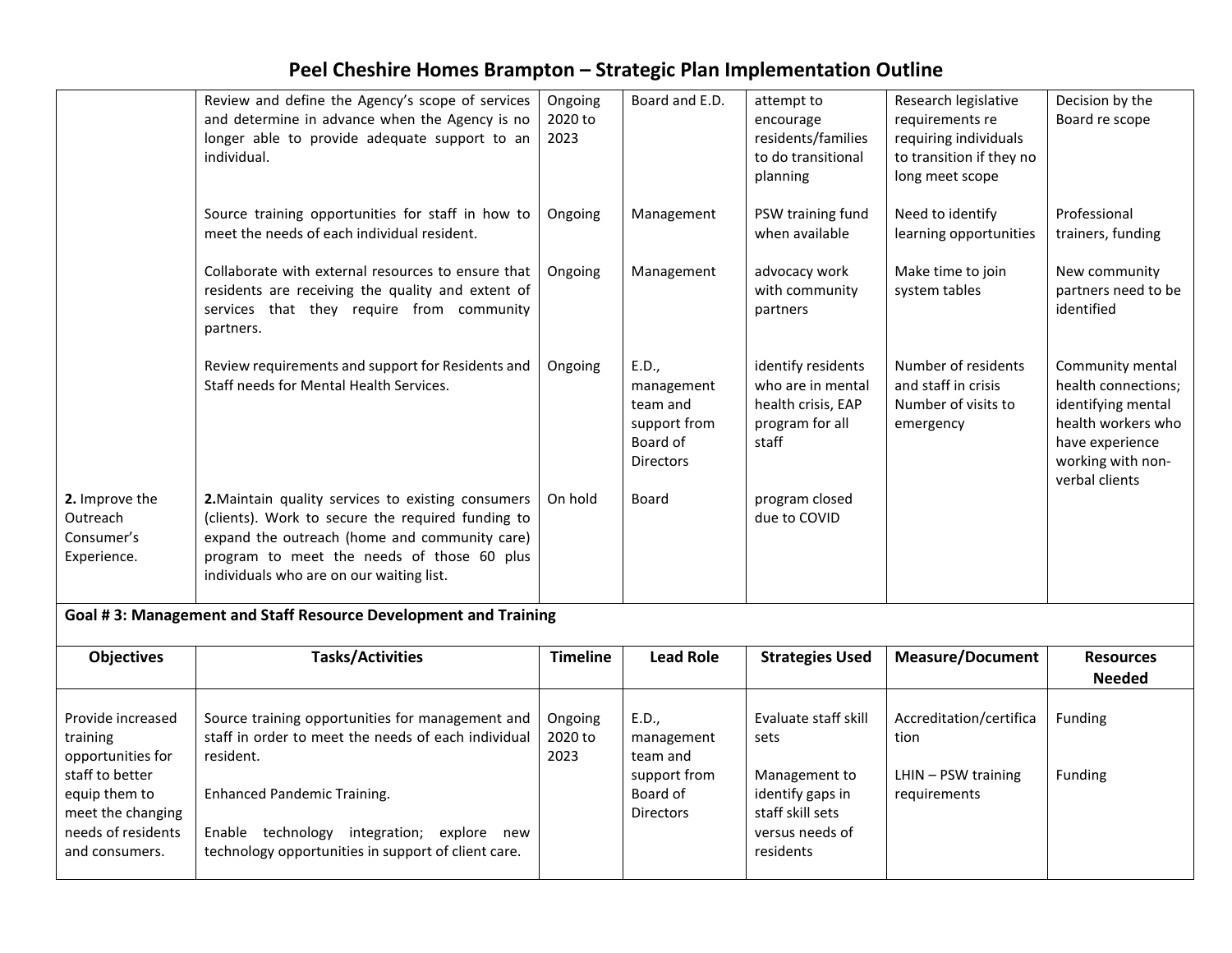|                                                                                               | Review and define the Agency's scope of services<br>and determine in advance when the Agency is no<br>longer able to provide adequate support to an<br>individual.                                                                                 | Ongoing<br>2020 to<br>2023 | Board and E.D.                                                                  | attempt to<br>encourage<br>residents/families<br>to do transitional<br>planning           | Research legislative<br>requirements re<br>requiring individuals<br>to transition if they no<br>long meet scope | Decision by the<br>Board re scope                                                                                                             |  |  |
|-----------------------------------------------------------------------------------------------|----------------------------------------------------------------------------------------------------------------------------------------------------------------------------------------------------------------------------------------------------|----------------------------|---------------------------------------------------------------------------------|-------------------------------------------------------------------------------------------|-----------------------------------------------------------------------------------------------------------------|-----------------------------------------------------------------------------------------------------------------------------------------------|--|--|
|                                                                                               | Source training opportunities for staff in how to<br>meet the needs of each individual resident.                                                                                                                                                   | Ongoing                    | Management                                                                      | PSW training fund<br>when available                                                       | Need to identify<br>learning opportunities                                                                      | Professional<br>trainers, funding                                                                                                             |  |  |
|                                                                                               | Collaborate with external resources to ensure that<br>residents are receiving the quality and extent of<br>services that they require from community<br>partners.                                                                                  | Ongoing                    | Management                                                                      | advocacy work<br>with community<br>partners                                               | Make time to join<br>system tables                                                                              | New community<br>partners need to be<br>identified                                                                                            |  |  |
|                                                                                               | Review requirements and support for Residents and<br>Staff needs for Mental Health Services.                                                                                                                                                       | Ongoing                    | E.D.,<br>management<br>team and<br>support from<br>Board of<br><b>Directors</b> | identify residents<br>who are in mental<br>health crisis, EAP<br>program for all<br>staff | Number of residents<br>and staff in crisis<br>Number of visits to<br>emergency                                  | Community mental<br>health connections;<br>identifying mental<br>health workers who<br>have experience<br>working with non-<br>verbal clients |  |  |
| 2. Improve the<br>Outreach<br>Consumer's<br>Experience.                                       | 2. Maintain quality services to existing consumers<br>(clients). Work to secure the required funding to<br>expand the outreach (home and community care)<br>program to meet the needs of those 60 plus<br>individuals who are on our waiting list. | On hold                    | Board                                                                           | program closed<br>due to COVID                                                            |                                                                                                                 |                                                                                                                                               |  |  |
| Goal #3: Management and Staff Resource Development and Training                               |                                                                                                                                                                                                                                                    |                            |                                                                                 |                                                                                           |                                                                                                                 |                                                                                                                                               |  |  |
| <b>Objectives</b>                                                                             | <b>Tasks/Activities</b>                                                                                                                                                                                                                            | <b>Timeline</b>            | <b>Lead Role</b>                                                                | <b>Strategies Used</b>                                                                    | <b>Measure/Document</b>                                                                                         | <b>Resources</b><br><b>Needed</b>                                                                                                             |  |  |
| Provide increased<br>training<br>opportunities for                                            | Source training opportunities for management and<br>staff in order to meet the needs of each individual<br>resident.                                                                                                                               | Ongoing<br>2020 to<br>2023 | E.D.,<br>management<br>team and                                                 | Evaluate staff skill<br>sets                                                              | Accreditation/certifica<br>tion                                                                                 | Funding                                                                                                                                       |  |  |
| staff to better<br>equip them to<br>meet the changing<br>needs of residents<br>and consumers. | <b>Enhanced Pandemic Training.</b><br>Enable technology integration; explore new<br>technology opportunities in support of client care.                                                                                                            |                            | support from<br>Board of<br><b>Directors</b>                                    | Management to<br>identify gaps in<br>staff skill sets<br>versus needs of<br>residents     | LHIN - PSW training<br>requirements                                                                             | Funding                                                                                                                                       |  |  |
|                                                                                               |                                                                                                                                                                                                                                                    |                            |                                                                                 |                                                                                           |                                                                                                                 |                                                                                                                                               |  |  |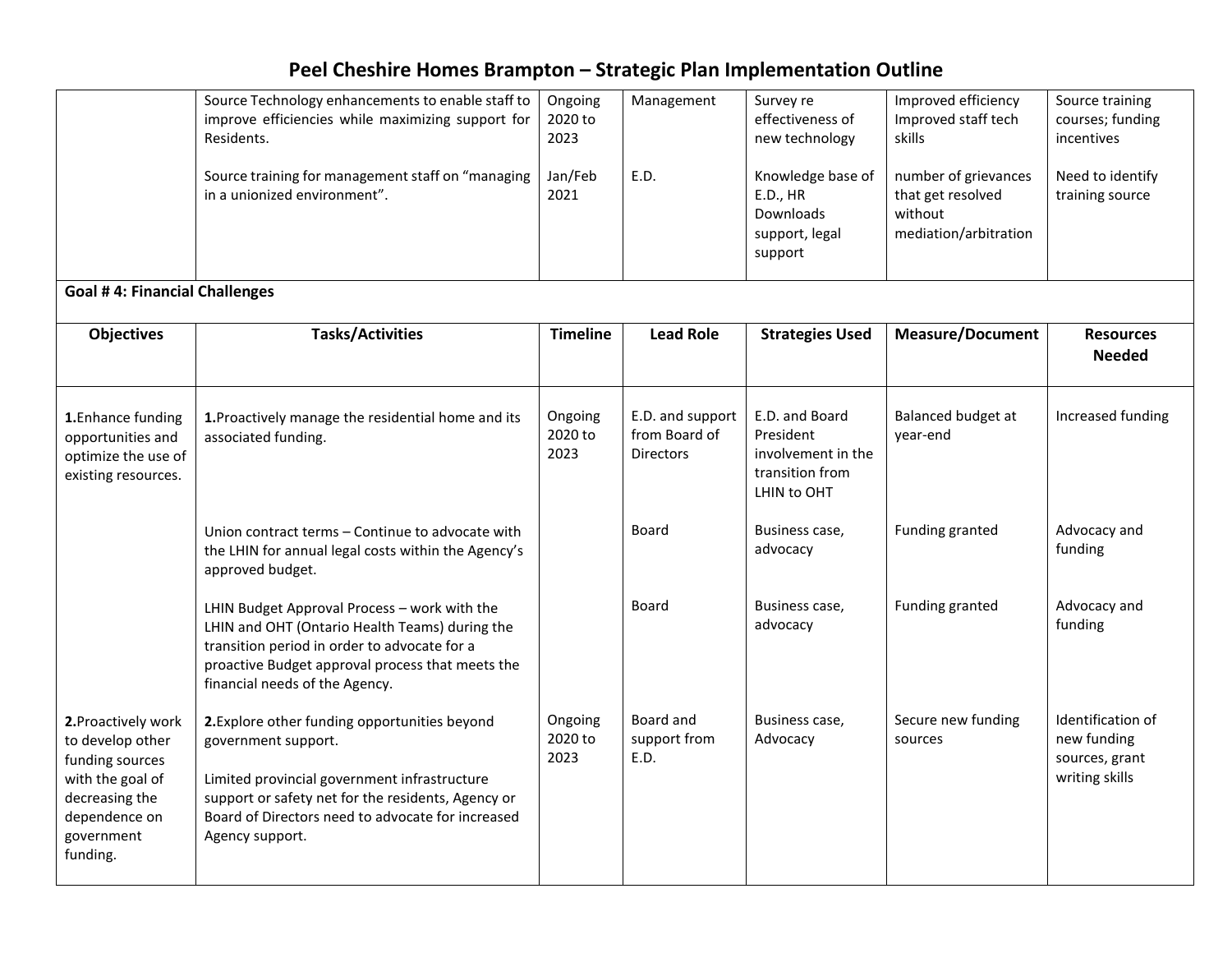|                                                                                                                                             | Source Technology enhancements to enable staff to<br>improve efficiencies while maximizing support for<br>Residents.                                                                                                                               | Ongoing<br>2020 to<br>2023 | Management                                            | Survey re<br>effectiveness of<br>new technology                                     | Improved efficiency<br>Improved staff tech<br>skills                          | Source training<br>courses; funding<br>incentives                    |  |  |  |
|---------------------------------------------------------------------------------------------------------------------------------------------|----------------------------------------------------------------------------------------------------------------------------------------------------------------------------------------------------------------------------------------------------|----------------------------|-------------------------------------------------------|-------------------------------------------------------------------------------------|-------------------------------------------------------------------------------|----------------------------------------------------------------------|--|--|--|
|                                                                                                                                             | Source training for management staff on "managing<br>in a unionized environment".                                                                                                                                                                  | Jan/Feb<br>2021            | E.D.                                                  | Knowledge base of<br>E.D., HR<br>Downloads<br>support, legal<br>support             | number of grievances<br>that get resolved<br>without<br>mediation/arbitration | Need to identify<br>training source                                  |  |  |  |
| <b>Goal #4: Financial Challenges</b>                                                                                                        |                                                                                                                                                                                                                                                    |                            |                                                       |                                                                                     |                                                                               |                                                                      |  |  |  |
| <b>Objectives</b>                                                                                                                           | <b>Tasks/Activities</b>                                                                                                                                                                                                                            | <b>Timeline</b>            | <b>Lead Role</b>                                      | <b>Strategies Used</b>                                                              | <b>Measure/Document</b>                                                       | <b>Resources</b><br><b>Needed</b>                                    |  |  |  |
| 1. Enhance funding<br>opportunities and<br>optimize the use of<br>existing resources.                                                       | 1. Proactively manage the residential home and its<br>associated funding.                                                                                                                                                                          | Ongoing<br>2020 to<br>2023 | E.D. and support<br>from Board of<br><b>Directors</b> | E.D. and Board<br>President<br>involvement in the<br>transition from<br>LHIN to OHT | Balanced budget at<br>year-end                                                | Increased funding                                                    |  |  |  |
|                                                                                                                                             | Union contract terms – Continue to advocate with<br>the LHIN for annual legal costs within the Agency's<br>approved budget.                                                                                                                        |                            | Board                                                 | Business case,<br>advocacy                                                          | Funding granted                                                               | Advocacy and<br>funding                                              |  |  |  |
|                                                                                                                                             | LHIN Budget Approval Process - work with the<br>LHIN and OHT (Ontario Health Teams) during the<br>transition period in order to advocate for a<br>proactive Budget approval process that meets the<br>financial needs of the Agency.               |                            | Board                                                 | Business case,<br>advocacy                                                          | Funding granted                                                               | Advocacy and<br>funding                                              |  |  |  |
| 2. Proactively work<br>to develop other<br>funding sources<br>with the goal of<br>decreasing the<br>dependence on<br>government<br>funding. | 2. Explore other funding opportunities beyond<br>government support.<br>Limited provincial government infrastructure<br>support or safety net for the residents, Agency or<br>Board of Directors need to advocate for increased<br>Agency support. | Ongoing<br>2020 to<br>2023 | Board and<br>support from<br>E.D.                     | Business case,<br>Advocacy                                                          | Secure new funding<br>sources                                                 | Identification of<br>new funding<br>sources, grant<br>writing skills |  |  |  |